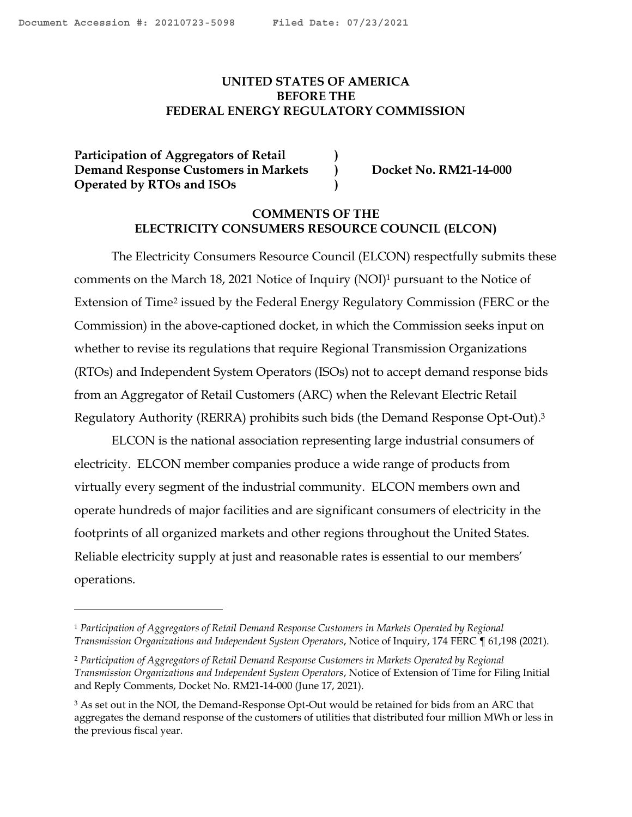## <span id="page-0-0"></span>**UNITED STATES OF AMERICA BEFORE THE FEDERAL ENERGY REGULATORY COMMISSION**

**Participation of Aggregators of Retail ) Demand Response Customers in Markets**  $\qquad$  **Docket No. RM21-14-000 Operated by RTOs and ISOs )**

### **COMMENTS OF THE ELECTRICITY CONSUMERS RESOURCE COUNCIL (ELCON)**

The Electricity Consumers Resource Council (ELCON) respectfully submits these comments on the March 18, 2021 Notice of Inquiry (NOI)<sup>1</sup> pursuant to the Notice of Extension of Time<sup>2</sup> issued by the Federal Energy Regulatory Commission (FERC or the Commission) in the above-captioned docket, in which the Commission seeks input on whether to revise its regulations that require Regional Transmission Organizations (RTOs) and Independent System Operators (ISOs) not to accept demand response bids from an Aggregator of Retail Customers (ARC) when the Relevant Electric Retail Regulatory Authority (RERRA) prohibits such bids (the Demand Response Opt-Out). 3

ELCON is the national association representing large industrial consumers of electricity. ELCON member companies produce a wide range of products from virtually every segment of the industrial community. ELCON members own and operate hundreds of major facilities and are significant consumers of electricity in the footprints of all organized markets and other regions throughout the United States. Reliable electricity supply at just and reasonable rates is essential to our members' operations.

<sup>1</sup> *Participation of Aggregators of Retail Demand Response Customers in Markets Operated by Regional Transmission Organizations and Independent System Operators*, Notice of Inquiry, 174 FERC ¶ 61,198 (2021).

<sup>2</sup> *Participation of Aggregators of Retail Demand Response Customers in Markets Operated by Regional Transmission Organizations and Independent System Operators*, Notice of Extension of Time for Filing Initial and Reply Comments, Docket No. RM21-14-000 (June 17, 2021).

<sup>&</sup>lt;sup>3</sup> As set out in the NOI, the Demand-Response Opt-Out would be retained for bids from an ARC that aggregates the demand response of the customers of utilities that distributed four million MWh or less in the previous fiscal year.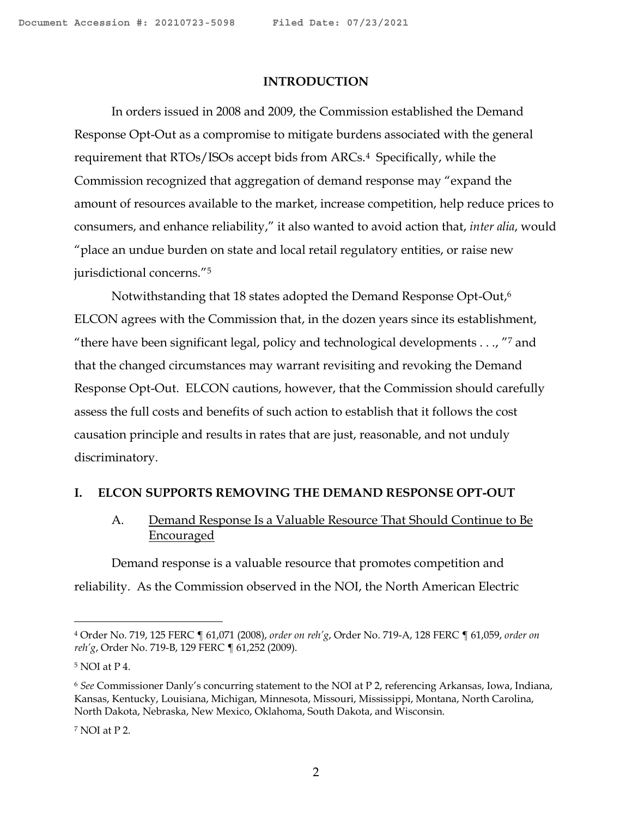#### **INTRODUCTION**

In orders issued in 2008 and 2009, the Commission established the Demand Response Opt-Out as a compromise to mitigate burdens associated with the general requirement that RTOs/ISOs accept bids from ARCs.4 Specifically, while the Commission recognized that aggregation of demand response may "expand the amount of resources available to the market, increase competition, help reduce prices to consumers, and enhance reliability," it also wanted to avoid action that, *inter alia*, would "place an undue burden on state and local retail regulatory entities, or raise new jurisdictional concerns."<sup>5</sup>

Notwithstanding that 18 states adopted the Demand Response Opt-Out,<sup>6</sup> ELCON agrees with the Commission that, in the dozen years since its establishment, "there have been significant legal, policy and technological developments  $\ldots$ , "7 and that the changed circumstances may warrant revisiting and revoking the Demand Response Opt-Out. ELCON cautions, however, that the Commission should carefully assess the full costs and benefits of such action to establish that it follows the cost causation principle and results in rates that are just, reasonable, and not unduly discriminatory.

#### **I. ELCON SUPPORTS REMOVING THE DEMAND RESPONSE OPT-OUT**

# A. Demand Response Is a Valuable Resource That Should Continue to Be **Encouraged**

Demand response is a valuable resource that promotes competition and reliability. As the Commission observed in the NOI, the North American Electric

<sup>4</sup> Order No. 719, 125 FERC ¶ 61,071 (2008), *order on reh'g*, Order No. 719-A, 128 FERC ¶ 61,059, *order on reh'g*, Order No. 719-B, 129 FERC ¶ 61,252 (2009).

<sup>5</sup> NOI at P 4.

<sup>6</sup> *See* Commissioner Danly's concurring statement to the NOI at P 2, referencing Arkansas, Iowa, Indiana, Kansas, Kentucky, Louisiana, Michigan, Minnesota, Missouri, Mississippi, Montana, North Carolina, North Dakota, Nebraska, New Mexico, Oklahoma, South Dakota, and Wisconsin.

<sup>7</sup> NOI at P 2.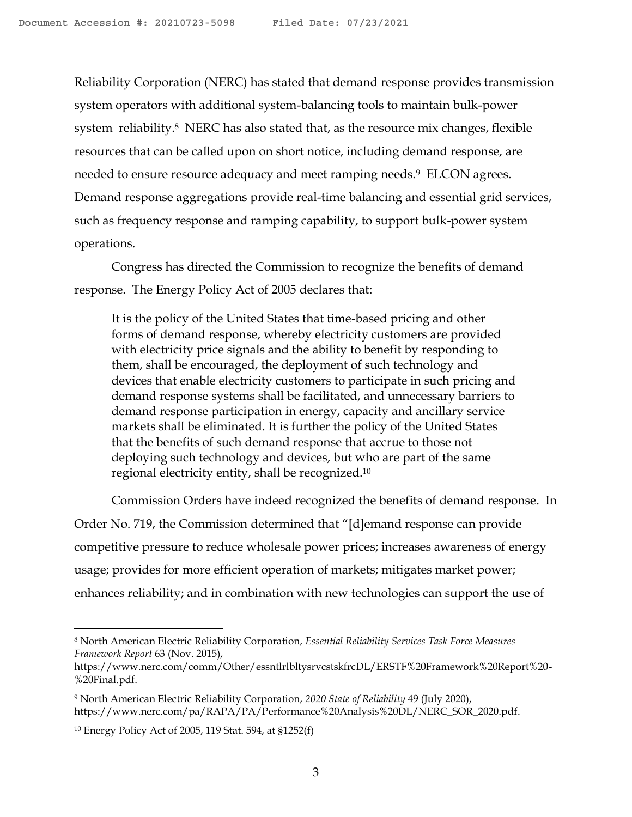Reliability Corporation (NERC) has stated that demand response provides transmission system operators with additional system-balancing tools to maintain bulk-power system reliability.<sup>8</sup> NERC has also stated that, as the resource mix changes, flexible resources that can be called upon on short notice, including demand response, are needed to ensure resource adequacy and meet ramping needs.<sup>9</sup> ELCON agrees. Demand response aggregations provide real-time balancing and essential grid services, such as frequency response and ramping capability, to support bulk-power system operations.

Congress has directed the Commission to recognize the benefits of demand response. The Energy Policy Act of 2005 declares that:

It is the policy of the United States that time-based pricing and other forms of demand response, whereby electricity customers are provided with electricity price signals and the ability to benefit by responding to them, shall be encouraged, the deployment of such technology and devices that enable electricity customers to participate in such pricing and demand response systems shall be facilitated, and unnecessary barriers to demand response participation in energy, capacity and ancillary service markets shall be eliminated. It is further the policy of the United States that the benefits of such demand response that accrue to those not deploying such technology and devices, but who are part of the same regional electricity entity, shall be recognized.<sup>10</sup>

Commission Orders have indeed recognized the benefits of demand response. In Order No. 719, the Commission determined that "[d]emand response can provide competitive pressure to reduce wholesale power prices; increases awareness of energy usage; provides for more efficient operation of markets; mitigates market power; enhances reliability; and in combination with new technologies can support the use of

<sup>8</sup> North American Electric Reliability Corporation, *Essential Reliability Services Task Force Measures Framework Report* 63 (Nov. 2015),

https://www.nerc.com/comm/Other/essntlrlbltysrvcstskfrcDL/ERSTF%20Framework%20Report%20- %20Final.pdf.

<sup>9</sup> North American Electric Reliability Corporation, *2020 State of Reliability* 49 (July 2020), https://www.nerc.com/pa/RAPA/PA/Performance%20Analysis%20DL/NERC\_SOR\_2020.pdf.

<sup>10</sup> Energy Policy Act of 2005, 119 Stat. 594, at §1252(f)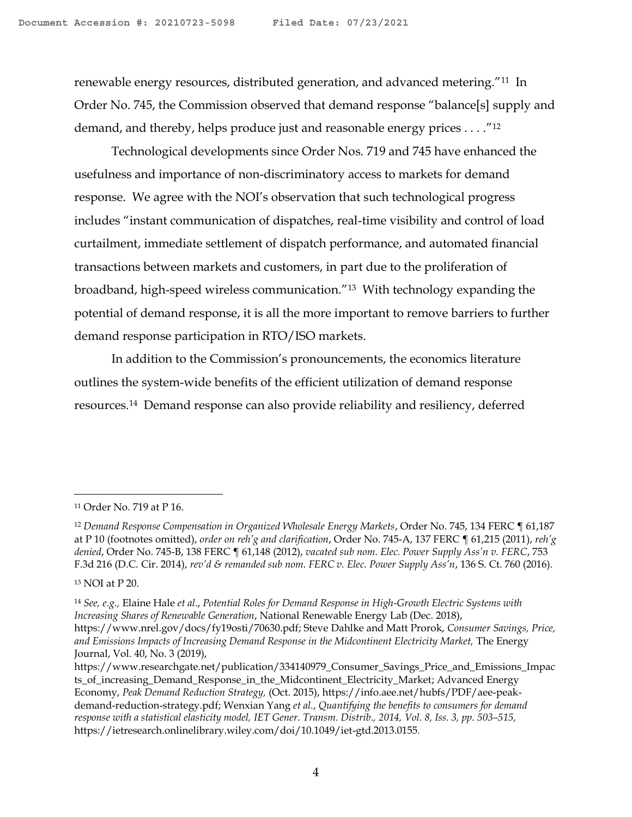renewable energy resources, distributed generation, and advanced metering."11 In Order No. 745, the Commission observed that demand response "balance[s] supply and demand, and thereby, helps produce just and reasonable energy prices . . . ."<sup>12</sup>

Technological developments since Order Nos. 719 and 745 have enhanced the usefulness and importance of non-discriminatory access to markets for demand response. We agree with the NOI's observation that such technological progress includes "instant communication of dispatches, real-time visibility and control of load curtailment, immediate settlement of dispatch performance, and automated financial transactions between markets and customers, in part due to the proliferation of broadband, high-speed wireless communication."13 With technology expanding the potential of demand response, it is all the more important to remove barriers to further demand response participation in RTO/ISO markets.

In addition to the Commission's pronouncements, the economics literature outlines the system-wide benefits of the efficient utilization of demand response resources. <sup>14</sup> Demand response can also provide reliability and resiliency, deferred

<sup>13</sup> NOI at P 20.

<sup>11</sup> Order No. 719 at P 16.

<sup>&</sup>lt;sup>12</sup> Demand Response Compensation in Organized Wholesale Energy Markets, Order No. 745, 134 FERC [61,187 at P 10 (footnotes omitted), *order on reh'g and clarification*, Order No. 745-A, 137 FERC ¶ 61,215 (2011), *reh'g denied*, Order No. 745-B, 138 FERC ¶ 61,148 (2012), *vacated sub nom. Elec. Power Supply Ass'n v. FERC*, 753 F.3d 216 (D.C. Cir. 2014), *rev'd & remanded sub nom. FERC v. Elec. Power Supply Ass'n*, 136 S. Ct. 760 (2016).

<sup>14</sup> *See, e.g.,* Elaine Hale *et al*., *Potential Roles for Demand Response in High-Growth Electric Systems with Increasing Shares of Renewable Generation*, National Renewable Energy Lab (Dec. 2018), https://www.nrel.gov/docs/fy19osti/70630.pdf; Steve Dahlke and Matt Prorok, *Consumer Savings, Price, and Emissions Impacts of Increasing Demand Response in the Midcontinent Electricity Market,* The Energy Journal, Vol. 40, No. 3 (2019),

https://www.researchgate.net/publication/334140979\_Consumer\_Savings\_Price\_and\_Emissions\_Impac ts\_of\_increasing\_Demand\_Response\_in\_the\_Midcontinent\_Electricity\_Market; Advanced Energy Economy, *Peak Demand Reduction Strategy,* (Oct. 2015), https://info.aee.net/hubfs/PDF/aee-peakdemand-reduction-strategy.pdf; Wenxian Yang *et al.*, *Quantifying the benefits to consumers for demand response with a statistical elasticity model, IET Gener. Transm. Distrib., 2014, Vol. 8, Iss. 3, pp. 503–515,* https://ietresearch.onlinelibrary.wiley.com/doi/10.1049/iet-gtd.2013.0155*.*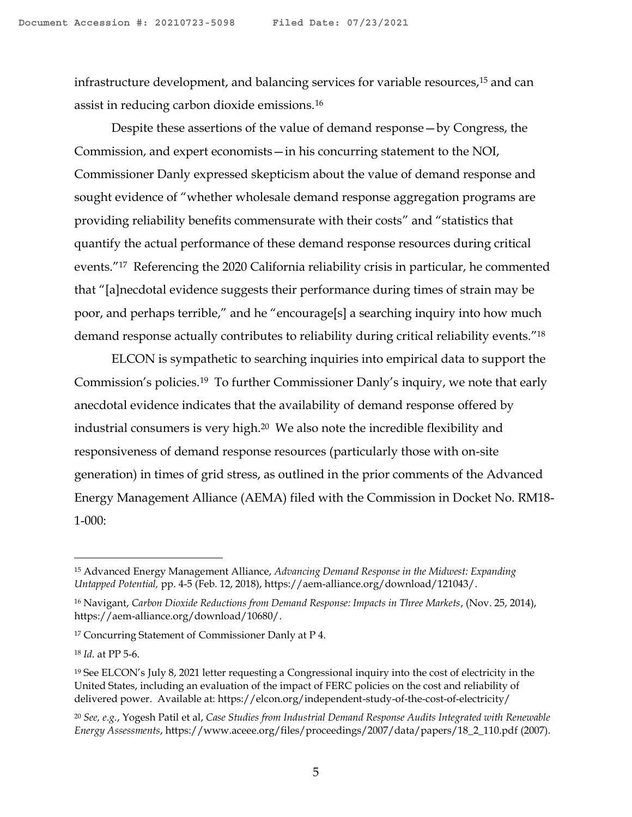infrastructure development, and balancing services for variable resources, <sup>15</sup> and can assist in reducing carbon dioxide emissions.<sup>16</sup>

Despite these assertions of the value of demand response—by Congress, the Commission, and expert economists—in his concurring statement to the NOI, Commissioner Danly expressed skepticism about the value of demand response and sought evidence of "whether wholesale demand response aggregation programs are providing reliability benefits commensurate with their costs" and "statistics that quantify the actual performance of these demand response resources during critical events."17 Referencing the 2020 California reliability crisis in particular, he commented that "[a]necdotal evidence suggests their performance during times of strain may be poor, and perhaps terrible," and he "encourage[s] a searching inquiry into how much demand response actually contributes to reliability during critical reliability events."<sup>18</sup>

ELCON is sympathetic to searching inquiries into empirical data to support the Commission's policies.19 To further Commissioner Danly's inquiry, we note that early anecdotal evidence indicates that the availability of demand response offered by industrial consumers is very high.20 We also note the incredible flexibility and responsiveness of demand response resources (particularly those with on-site generation) in times of grid stress, as outlined in the prior comments of the Advanced Energy Management Alliance (AEMA) filed with the Commission in Docket No. RM18- 1-000:

<sup>15</sup> Advanced Energy Management Alliance, *Advancing Demand Response in the Midwest: Expanding Untapped Potential,* pp. 4-5 (Feb. 12, 2018), https://aem-alliance.org/download/121043/.

<sup>16</sup> Navigant, *Carbon Dioxide Reductions from Demand Response: Impacts in Three Markets*, (Nov. 25, 2014), https://aem-alliance.org/download/10680/.

<sup>17</sup> Concurring Statement of Commissioner Danly at P 4.

<sup>18</sup> *Id.* at PP 5-6.

<sup>19</sup> See ELCON's July 8, 2021 letter requesting a Congressional inquiry into the cost of electricity in the United States, including an evaluation of the impact of FERC policies on the cost and reliability of delivered power. Available at: https://elcon.org/independent-study-of-the-cost-of-electricity/

<sup>20</sup> *See, e.g.*, Yogesh Patil et al, *Case Studies from Industrial Demand Response Audits Integrated with Renewable Energy Assessments*, https://www.aceee.org/files/proceedings/2007/data/papers/18\_2\_110.pdf (2007).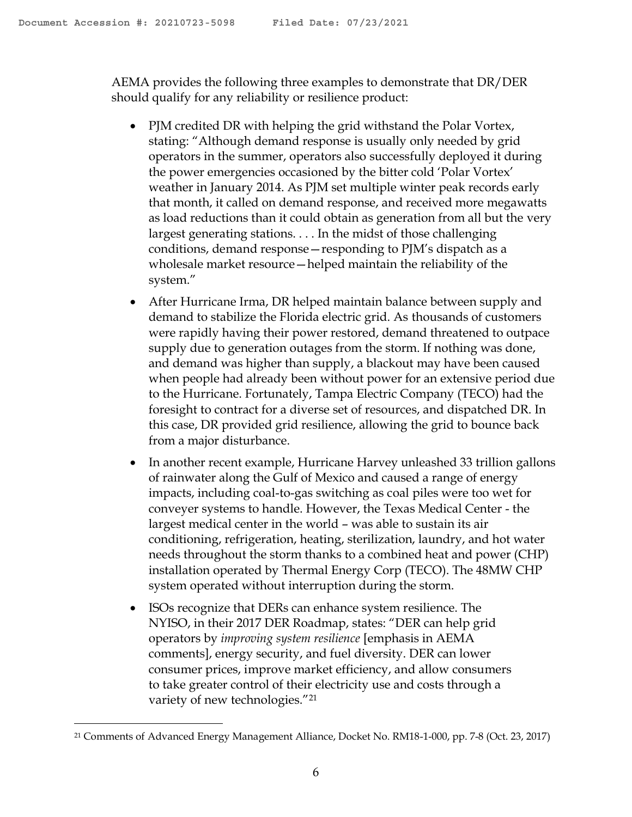AEMA provides the following three examples to demonstrate that DR/DER should qualify for any reliability or resilience product:

- PJM credited DR with helping the grid withstand the Polar Vortex, stating: "Although demand response is usually only needed by grid operators in the summer, operators also successfully deployed it during the power emergencies occasioned by the bitter cold 'Polar Vortex' weather in January 2014. As PJM set multiple winter peak records early that month, it called on demand response, and received more megawatts as load reductions than it could obtain as generation from all but the very largest generating stations. . . . In the midst of those challenging conditions, demand response—responding to PJM's dispatch as a wholesale market resource—helped maintain the reliability of the system."
- After Hurricane Irma, DR helped maintain balance between supply and demand to stabilize the Florida electric grid. As thousands of customers were rapidly having their power restored, demand threatened to outpace supply due to generation outages from the storm. If nothing was done, and demand was higher than supply, a blackout may have been caused when people had already been without power for an extensive period due to the Hurricane. Fortunately, Tampa Electric Company (TECO) had the foresight to contract for a diverse set of resources, and dispatched DR. In this case, DR provided grid resilience, allowing the grid to bounce back from a major disturbance.
- In another recent example, Hurricane Harvey unleashed 33 trillion gallons of rainwater along the Gulf of Mexico and caused a range of energy impacts, including coal-to-gas switching as coal piles were too wet for conveyer systems to handle. However, the Texas Medical Center - the largest medical center in the world – was able to sustain its air conditioning, refrigeration, heating, sterilization, laundry, and hot water needs throughout the storm thanks to a combined heat and power (CHP) installation operated by Thermal Energy Corp (TECO). The 48MW CHP system operated without interruption during the storm.
- ISOs recognize that DERs can enhance system resilience. The NYISO, in their 2017 DER Roadmap, states: "DER can help grid operators by *improving system resilience* [emphasis in AEMA comments], energy security, and fuel diversity. DER can lower consumer prices, improve market efficiency, and allow consumers to take greater control of their electricity use and costs through a variety of new technologies."<sup>21</sup>

<sup>21</sup> Comments of Advanced Energy Management Alliance, Docket No. RM18-1-000, pp. 7-8 (Oct. 23, 2017)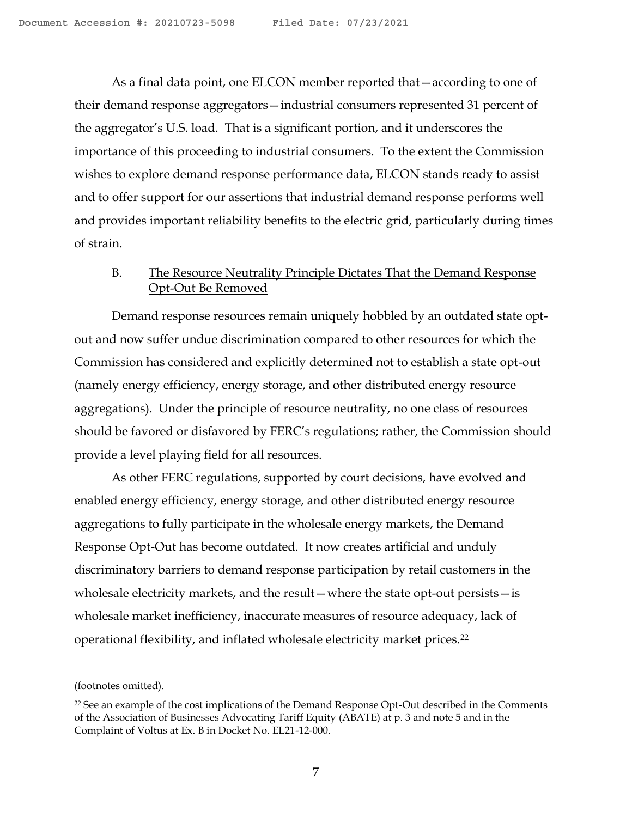As a final data point, one ELCON member reported that—according to one of their demand response aggregators—industrial consumers represented 31 percent of the aggregator's U.S. load. That is a significant portion, and it underscores the importance of this proceeding to industrial consumers. To the extent the Commission wishes to explore demand response performance data, ELCON stands ready to assist and to offer support for our assertions that industrial demand response performs well and provides important reliability benefits to the electric grid, particularly during times of strain.

# B. The Resource Neutrality Principle Dictates That the Demand Response Opt-Out Be Removed

Demand response resources remain uniquely hobbled by an outdated state optout and now suffer undue discrimination compared to other resources for which the Commission has considered and explicitly determined not to establish a state opt-out (namely energy efficiency, energy storage, and other distributed energy resource aggregations). Under the principle of resource neutrality, no one class of resources should be favored or disfavored by FERC's regulations; rather, the Commission should provide a level playing field for all resources.

As other FERC regulations, supported by court decisions, have evolved and enabled energy efficiency, energy storage, and other distributed energy resource aggregations to fully participate in the wholesale energy markets, the Demand Response Opt-Out has become outdated. It now creates artificial and unduly discriminatory barriers to demand response participation by retail customers in the wholesale electricity markets, and the result—where the state opt-out persists—is wholesale market inefficiency, inaccurate measures of resource adequacy, lack of operational flexibility, and inflated wholesale electricity market prices.<sup>22</sup>

<sup>(</sup>footnotes omitted).

<sup>&</sup>lt;sup>22</sup> See an example of the cost implications of the Demand Response Opt-Out described in the Comments of the Association of Businesses Advocating Tariff Equity (ABATE) at p. 3 and note 5 and in the Complaint of Voltus at Ex. B in Docket No. EL21-12-000.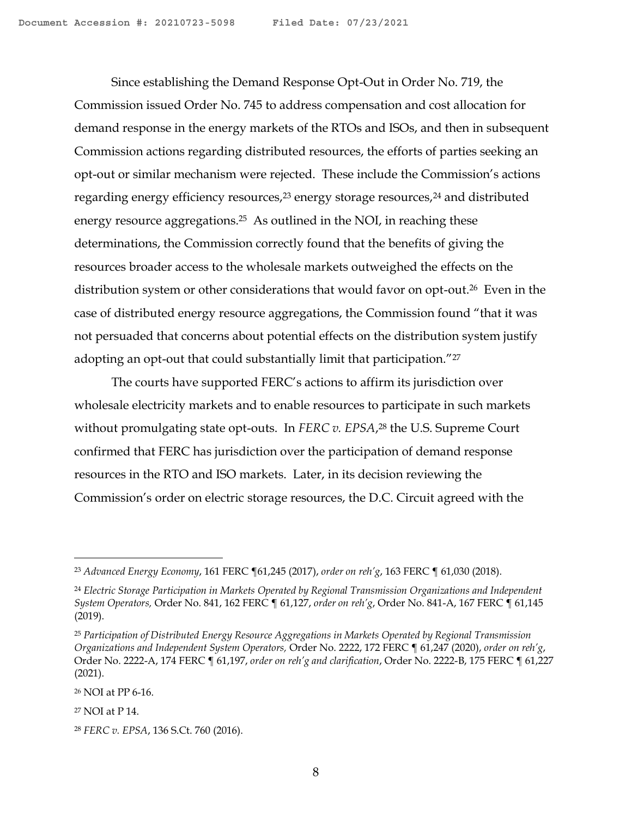Since establishing the Demand Response Opt-Out in Order No. 719, the Commission issued Order No. 745 to address compensation and cost allocation for demand response in the energy markets of the RTOs and ISOs, and then in subsequent Commission actions regarding distributed resources, the efforts of parties seeking an opt-out or similar mechanism were rejected. These include the Commission's actions regarding energy efficiency resources,<sup>23</sup> energy storage resources,<sup>24</sup> and distributed energy resource aggregations.<sup>25</sup> As outlined in the NOI, in reaching these determinations, the Commission correctly found that the benefits of giving the resources broader access to the wholesale markets outweighed the effects on the distribution system or other considerations that would favor on opt-out.<sup>26</sup> Even in the case of distributed energy resource aggregations, the Commission found "that it was not persuaded that concerns about potential effects on the distribution system justify adopting an opt-out that could substantially limit that participation."<sup>27</sup>

The courts have supported FERC's actions to affirm its jurisdiction over wholesale electricity markets and to enable resources to participate in such markets without promulgating state opt-outs. In *FERC v. EPSA*, <sup>28</sup> the U.S. Supreme Court confirmed that FERC has jurisdiction over the participation of demand response resources in the RTO and ISO markets. Later, in its decision reviewing the Commission's order on electric storage resources, the D.C. Circuit agreed with the

<sup>26</sup> NOI at PP 6-16.

<sup>27</sup> NOI at P 14.

<sup>23</sup> *Advanced Energy Economy*, 161 FERC ¶61,245 (2017), *order on reh'g*, 163 FERC ¶ 61,030 (2018).

<sup>24</sup> *Electric Storage Participation in Markets Operated by Regional Transmission Organizations and Independent System Operators,* Order No. 841, 162 FERC ¶ 61,127, *order on reh'g*, Order No. 841-A, 167 FERC ¶ 61,145 (2019).

<sup>25</sup> *Participation of Distributed Energy Resource Aggregations in Markets Operated by Regional Transmission Organizations and Independent System Operators,* Order No. 2222, 172 FERC ¶ 61,247 (2020), *order on reh'g*, Order No. 2222-A, 174 FERC ¶ 61,197, *order on reh'g and clarification*, Order No. 2222-B, 175 FERC ¶ 61,227 (2021).

<sup>28</sup> *FERC v. EPSA*, 136 S.Ct. 760 (2016).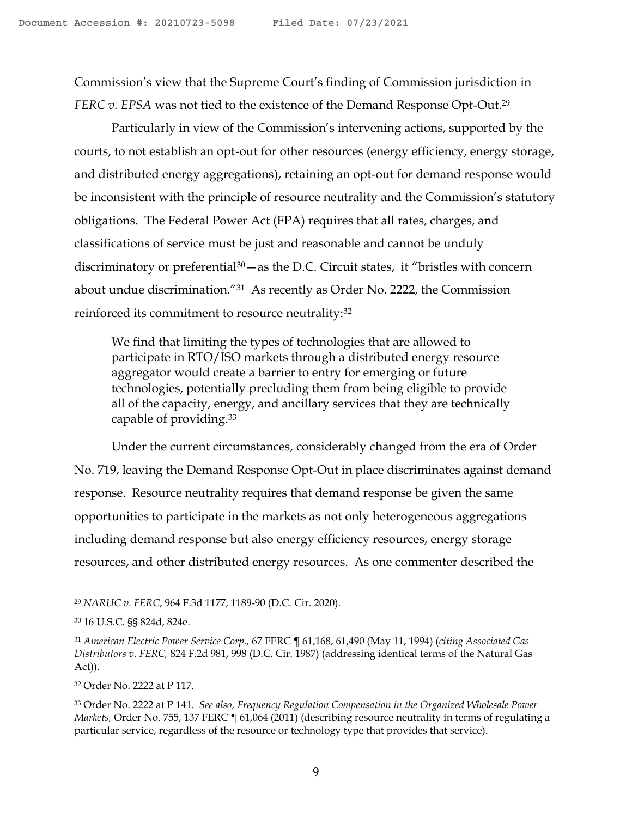Commission's view that the Supreme Court's finding of Commission jurisdiction in *FERC v. EPSA* was not tied to the existence of the Demand Response Opt-Out.<sup>29</sup>

Particularly in view of the Commission's intervening actions, supported by the courts, to not establish an opt-out for other resources (energy efficiency, energy storage, and distributed energy aggregations), retaining an opt-out for demand response would be inconsistent with the principle of resource neutrality and the Commission's statutory obligations. The Federal Power Act (FPA) requires that all rates, charges, and classifications of service must be just and reasonable and cannot be unduly discriminatory or preferential<sup>30</sup> — as the D.C. Circuit states, it "bristles with concern about undue discrimination."31 As recently as Order No. 2222, the Commission reinforced its commitment to resource neutrality:<sup>32</sup>

We find that limiting the types of technologies that are allowed to participate in RTO/ISO markets through a distributed energy resource aggregator would create a barrier to entry for emerging or future technologies, potentially precluding them from being eligible to provide all of the capacity, energy, and ancillary services that they are technically capable of providing.<sup>33</sup>

Under the current circumstances, considerably changed from the era of Order No. 719, leaving the Demand Response Opt-Out in place discriminates against demand response. Resource neutrality requires that demand response be given the same opportunities to participate in the markets as not only heterogeneous aggregations including demand response but also energy efficiency resources, energy storage resources, and other distributed energy resources. As one commenter described the

<sup>29</sup> *NARUC v. FERC*, 964 F.3d 1177, 1189-90 (D.C. Cir. 2020).

<sup>30</sup> 16 U.S.C. §§ 824d, 824e.

<sup>31</sup> *American Electric Power Service Corp.,* 67 FERC ¶ 61,168, 61,490 (May 11, 1994) (*citing Associated Gas Distributors v. FERC,* 824 F.2d 981, 998 (D.C. Cir. 1987) (addressing identical terms of the Natural Gas Act)).

<sup>32</sup> Order No. 2222 at P 117.

<sup>33</sup> Order No. 2222 at P 141. *See also, Frequency Regulation Compensation in the Organized Wholesale Power Markets,* Order No. 755, 137 FERC ¶ 61,064 (2011) (describing resource neutrality in terms of regulating a particular service, regardless of the resource or technology type that provides that service).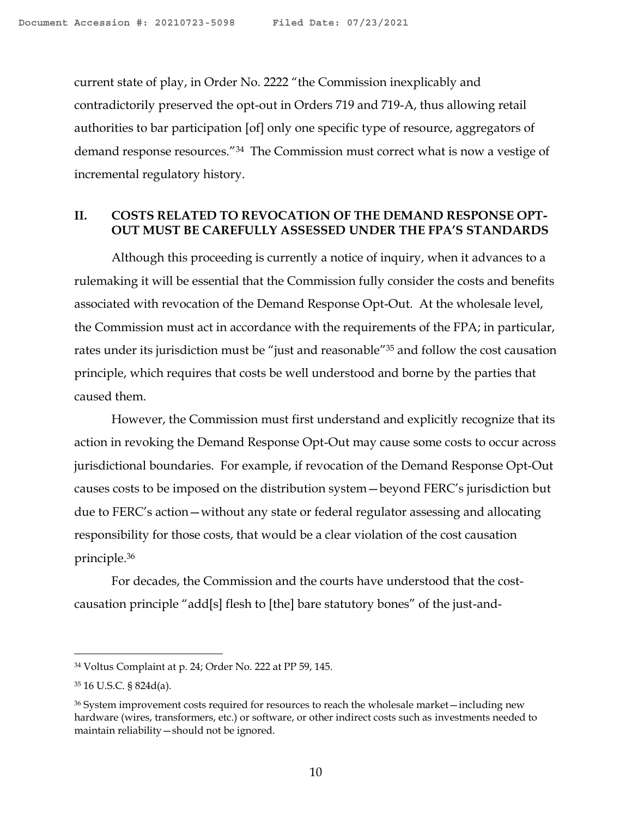current state of play, in Order No. 2222 "the Commission inexplicably and contradictorily preserved the opt-out in Orders 719 and 719-A, thus allowing retail authorities to bar participation [of] only one specific type of resource, aggregators of demand response resources."34 The Commission must correct what is now a vestige of incremental regulatory history.

## **II. COSTS RELATED TO REVOCATION OF THE DEMAND RESPONSE OPT-OUT MUST BE CAREFULLY ASSESSED UNDER THE FPA'S STANDARDS**

Although this proceeding is currently a notice of inquiry, when it advances to a rulemaking it will be essential that the Commission fully consider the costs and benefits associated with revocation of the Demand Response Opt-Out. At the wholesale level, the Commission must act in accordance with the requirements of the FPA; in particular, rates under its jurisdiction must be "just and reasonable"<sup>35</sup> and follow the cost causation principle, which requires that costs be well understood and borne by the parties that caused them.

However, the Commission must first understand and explicitly recognize that its action in revoking the Demand Response Opt-Out may cause some costs to occur across jurisdictional boundaries. For example, if revocation of the Demand Response Opt-Out causes costs to be imposed on the distribution system—beyond FERC's jurisdiction but due to FERC's action—without any state or federal regulator assessing and allocating responsibility for those costs, that would be a clear violation of the cost causation principle. 36

For decades, the Commission and the courts have understood that the costcausation principle "add[s] flesh to [the] bare statutory bones" of the just-and-

<sup>34</sup> Voltus Complaint at p. 24; Order No. 222 at PP 59, 145.

<sup>35</sup> 16 U.S.C. § 824d(a).

<sup>36</sup> System improvement costs required for resources to reach the wholesale market—including new hardware (wires, transformers, etc.) or software, or other indirect costs such as investments needed to maintain reliability—should not be ignored.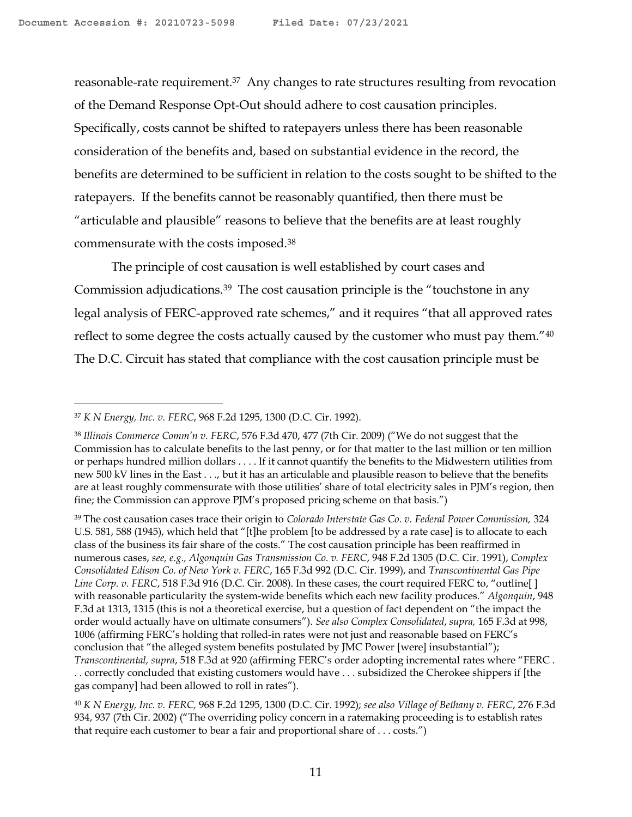reasonable-rate requirement.<sup>37</sup> Any changes to rate structures resulting from revocation of the Demand Response Opt-Out should adhere to cost causation principles. Specifically, costs cannot be shifted to ratepayers unless there has been reasonable consideration of the benefits and, based on substantial evidence in the record, the benefits are determined to be sufficient in relation to the costs sought to be shifted to the ratepayers. If the benefits cannot be reasonably quantified, then there must be "articulable and plausible" reasons to believe that the benefits are at least roughly commensurate with the costs imposed.<sup>38</sup>

The principle of cost causation is well established by court cases and Commission adjudications.<sup>39</sup> The cost causation principle is the "touchstone in any legal analysis of FERC-approved rate schemes," and it requires "that all approved rates reflect to some degree the costs actually caused by the customer who must pay them."<sup>40</sup> The D.C. Circuit has stated that compliance with the cost causation principle must be

<sup>37</sup> *K N Energy, Inc. v. FERC*, 968 F.2d 1295, 1300 (D.C. Cir. 1992).

<sup>38</sup> *Illinois Commerce Comm'n v. FERC*, 576 F.3d 470, 477 (7th Cir. 2009) ("We do not suggest that the Commission has to calculate benefits to the last penny, or for that matter to the last million or ten million or perhaps hundred million dollars . . . . If it cannot quantify the benefits to the Midwestern utilities from new 500 kV lines in the East . . ., but it has an articulable and plausible reason to believe that the benefits are at least roughly commensurate with those utilities' share of total electricity sales in PJM's region, then fine; the Commission can approve PJM's proposed pricing scheme on that basis.")

<sup>39</sup> The cost causation cases trace their origin to *Colorado Interstate Gas Co. v. Federal Power Commission,* 324 U.S. 581, 588 (1945), which held that "[t]he problem [to be addressed by a rate case] is to allocate to each class of the business its fair share of the costs." The cost causation principle has been reaffirmed in numerous cases, *see, e.g., Algonquin Gas Transmission Co. v. FERC*, 948 F.2d 1305 (D.C. Cir. 1991), *Complex Consolidated Edison Co. of New York v. FERC*, 165 F.3d 992 (D.C. Cir. 1999), and *Transcontinental Gas Pipe Line Corp. v. FERC*, 518 F.3d 916 (D.C. Cir. 2008). In these cases, the court required FERC to, "outline[ ] with reasonable particularity the system-wide benefits which each new facility produces." *Algonquin*, 948 F.3d at 1313, 1315 (this is not a theoretical exercise, but a question of fact dependent on "the impact the order would actually have on ultimate consumers"). *See also Complex Consolidated*, *supra,* 165 F.3d at 998, 1006 (affirming FERC's holding that rolled-in rates were not just and reasonable based on FERC's conclusion that "the alleged system benefits postulated by JMC Power [were] insubstantial"); *Transcontinental, supra*, 518 F.3d at 920 (affirming FERC's order adopting incremental rates where "FERC . . . correctly concluded that existing customers would have . . . subsidized the Cherokee shippers if [the gas company] had been allowed to roll in rates").

<sup>40</sup> *K N Energy, Inc. v. FERC,* 968 F.2d 1295, 1300 (D.C. Cir. 1992); *see also Village of Bethany v. FERC*, 276 F.3d 934, 937 (7th Cir. 2002) ("The overriding policy concern in a ratemaking proceeding is to establish rates that require each customer to bear a fair and proportional share of . . . costs.")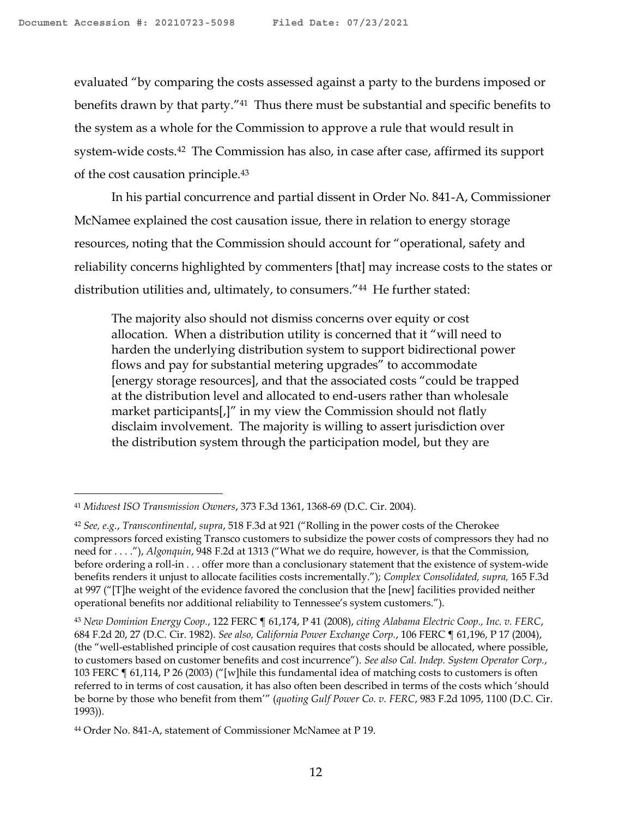evaluated "by comparing the costs assessed against a party to the burdens imposed or benefits drawn by that party."<sup>41</sup> Thus there must be substantial and specific benefits to the system as a whole for the Commission to approve a rule that would result in system-wide costs.<sup>42</sup> The Commission has also, in case after case, affirmed its support of the cost causation principle.<sup>43</sup>

In his partial concurrence and partial dissent in Order No. 841-A, Commissioner McNamee explained the cost causation issue, there in relation to energy storage resources, noting that the Commission should account for "operational, safety and reliability concerns highlighted by commenters [that] may increase costs to the states or distribution utilities and, ultimately, to consumers."44 He further stated:

The majority also should not dismiss concerns over equity or cost allocation. When a distribution utility is concerned that it "will need to harden the underlying distribution system to support bidirectional power flows and pay for substantial metering upgrades" to accommodate [energy storage resources], and that the associated costs "could be trapped at the distribution level and allocated to end-users rather than wholesale market participants[,]" in my view the Commission should not flatly disclaim involvement. The majority is willing to assert jurisdiction over the distribution system through the participation model, but they are

<sup>41</sup> *Midwest ISO Transmission Owners*, 373 F.3d 1361, 1368-69 (D.C. Cir. 2004).

<sup>42</sup> *See, e.g.*, *Transcontinental*, *supra*, 518 F.3d at 921 ("Rolling in the power costs of the Cherokee compressors forced existing Transco customers to subsidize the power costs of compressors they had no need for . . . ."), *Algonquin*, 948 F.2d at 1313 ("What we do require, however, is that the Commission, before ordering a roll-in . . . offer more than a conclusionary statement that the existence of system-wide benefits renders it unjust to allocate facilities costs incrementally."); *Complex Consolidated, supra,* 165 F.3d at 997 ("[T]he weight of the evidence favored the conclusion that the [new] facilities provided neither operational benefits nor additional reliability to Tennessee's system customers.").

<sup>43</sup> *New Dominion Energy Coop.*, 122 FERC ¶ 61,174, P 41 (2008), *citing Alabama Electric Coop., Inc. v. FERC*, 684 F.2d 20, 27 (D.C. Cir. 1982). *See also, California Power Exchange Corp.*, 106 FERC ¶ 61,196, P 17 (2004), (the "well-established principle of cost causation requires that costs should be allocated, where possible, to customers based on customer benefits and cost incurrence"). *See also Cal. Indep. System Operator Corp.*, 103 FERC ¶ 61,114, P 26 (2003) ("[w]hile this fundamental idea of matching costs to customers is often referred to in terms of cost causation, it has also often been described in terms of the costs which 'should be borne by those who benefit from them'" (*quoting Gulf Power Co. v. FERC*, 983 F.2d 1095, 1100 (D.C. Cir. 1993)).

<sup>44</sup> Order No. 841-A, statement of Commissioner McNamee at P 19.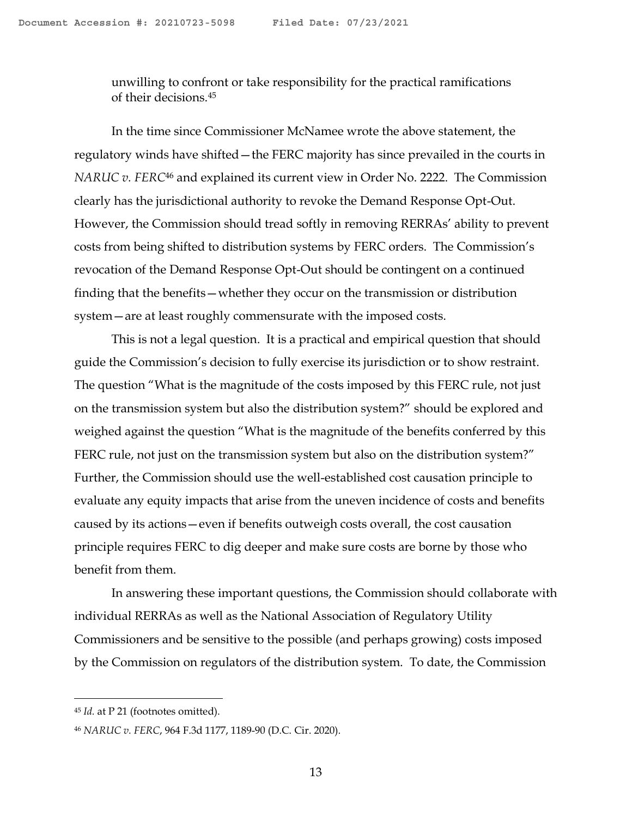unwilling to confront or take responsibility for the practical ramifications of their decisions.<sup>45</sup>

In the time since Commissioner McNamee wrote the above statement, the regulatory winds have shifted—the FERC majority has since prevailed in the courts in *NARUC v. FERC*<sup>46</sup> and explained its current view in Order No. 2222. The Commission clearly has the jurisdictional authority to revoke the Demand Response Opt-Out. However, the Commission should tread softly in removing RERRAs' ability to prevent costs from being shifted to distribution systems by FERC orders. The Commission's revocation of the Demand Response Opt-Out should be contingent on a continued finding that the benefits—whether they occur on the transmission or distribution system—are at least roughly commensurate with the imposed costs.

This is not a legal question. It is a practical and empirical question that should guide the Commission's decision to fully exercise its jurisdiction or to show restraint. The question "What is the magnitude of the costs imposed by this FERC rule, not just on the transmission system but also the distribution system?" should be explored and weighed against the question "What is the magnitude of the benefits conferred by this FERC rule, not just on the transmission system but also on the distribution system?" Further, the Commission should use the well-established cost causation principle to evaluate any equity impacts that arise from the uneven incidence of costs and benefits caused by its actions—even if benefits outweigh costs overall, the cost causation principle requires FERC to dig deeper and make sure costs are borne by those who benefit from them.

In answering these important questions, the Commission should collaborate with individual RERRAs as well as the National Association of Regulatory Utility Commissioners and be sensitive to the possible (and perhaps growing) costs imposed by the Commission on regulators of the distribution system. To date, the Commission

<sup>45</sup> *Id.* at P 21 (footnotes omitted).

<sup>46</sup> *NARUC v. FERC*, 964 F.3d 1177, 1189-90 (D.C. Cir. 2020).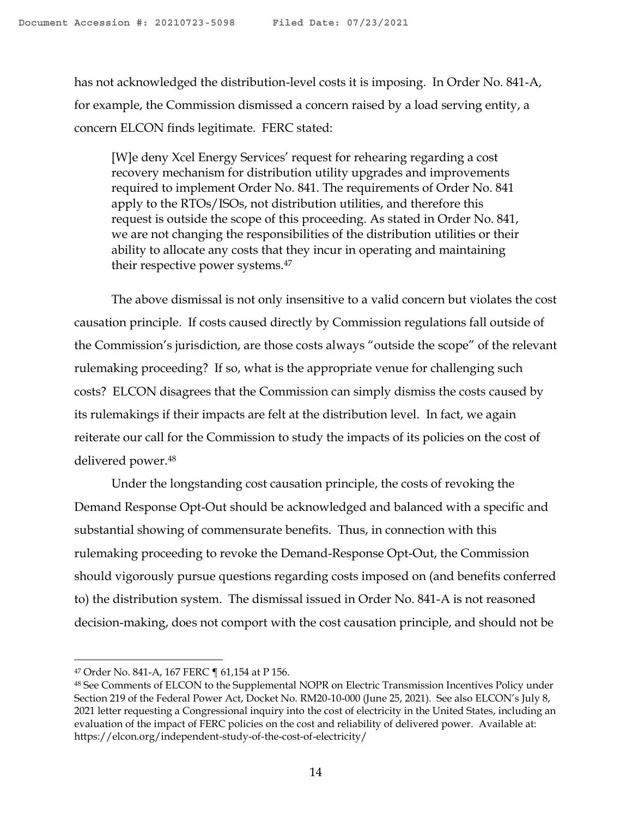has not acknowledged the distribution-level costs it is imposing. In Order No. 841-A, for example, the Commission dismissed a concern raised by a load serving entity, a concern ELCON finds legitimate. FERC stated:

[W]e deny Xcel Energy Services' request for rehearing regarding a cost recovery mechanism for distribution utility upgrades and improvements required to implement Order No. 841. The requirements of Order No. 841 apply to the RTOs/ISOs, not distribution utilities, and therefore this request is outside the scope of this proceeding. As stated in Order No. 841, we are not changing the responsibilities of the distribution utilities or their ability to allocate any costs that they incur in operating and maintaining their respective power systems.<sup>47</sup>

The above dismissal is not only insensitive to a valid concern but violates the cost causation principle. If costs caused directly by Commission regulations fall outside of the Commission's jurisdiction, are those costs always "outside the scope" of the relevant rulemaking proceeding? If so, what is the appropriate venue for challenging such costs? ELCON disagrees that the Commission can simply dismiss the costs caused by its rulemakings if their impacts are felt at the distribution level. In fact, we again reiterate our call for the Commission to study the impacts of its policies on the cost of delivered power.<sup>48</sup>

Under the longstanding cost causation principle, the costs of revoking the Demand Response Opt-Out should be acknowledged and balanced with a specific and substantial showing of commensurate benefits. Thus, in connection with this rulemaking proceeding to revoke the Demand-Response Opt-Out, the Commission should vigorously pursue questions regarding costs imposed on (and benefits conferred to) the distribution system. The dismissal issued in Order No. 841-A is not reasoned decision-making, does not comport with the cost causation principle, and should not be

<sup>47</sup> Order No. 841-A, 167 FERC ¶ 61,154 at P 156.

<sup>48</sup> See Comments of ELCON to the Supplemental NOPR on Electric Transmission Incentives Policy under Section 219 of the Federal Power Act, Docket No. RM20-10-000 (June 25, 2021). See also ELCON's July 8, 2021 letter requesting a Congressional inquiry into the cost of electricity in the United States, including an evaluation of the impact of FERC policies on the cost and reliability of delivered power. Available at: https://elcon.org/independent-study-of-the-cost-of-electricity/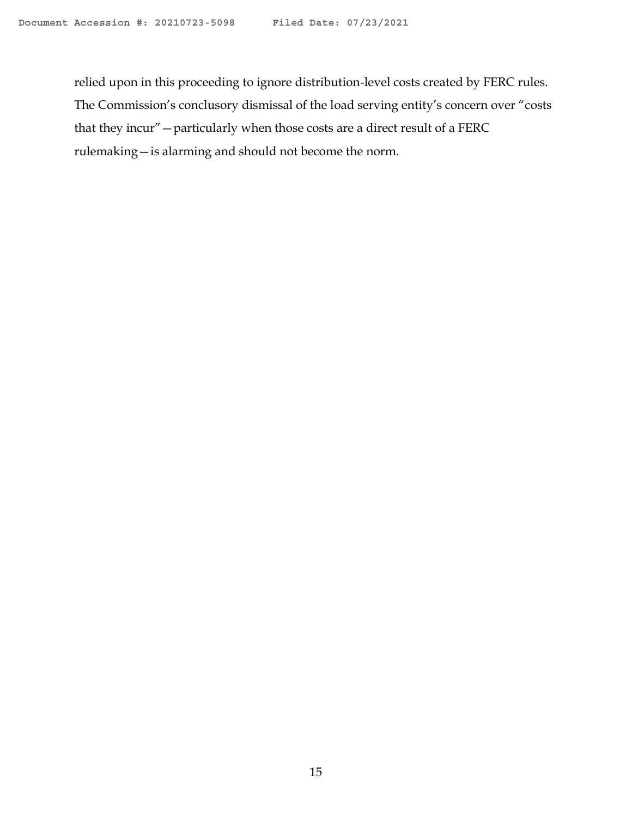relied upon in this proceeding to ignore distribution-level costs created by FERC rules. The Commission's conclusory dismissal of the load serving entity's concern over "costs that they incur"—particularly when those costs are a direct result of a FERC rulemaking—is alarming and should not become the norm.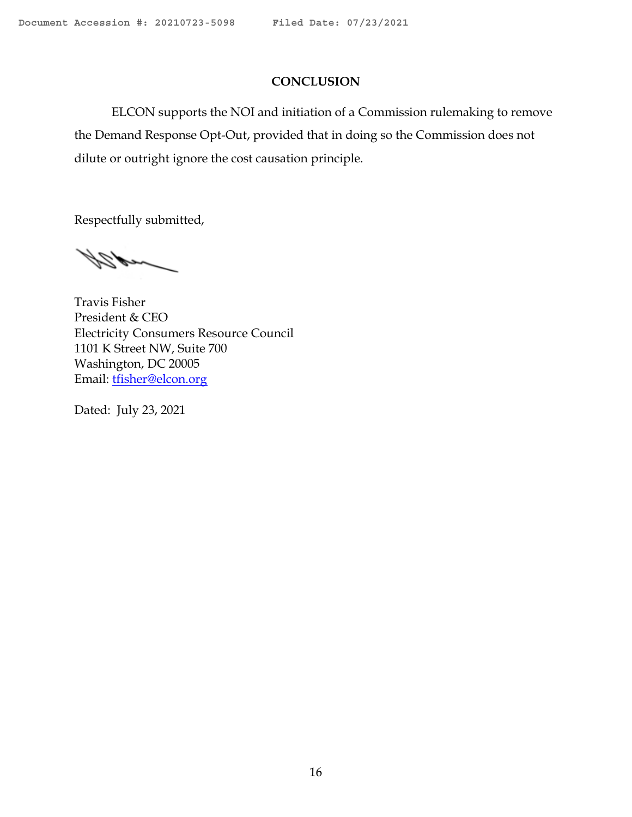### **CONCLUSION**

ELCON supports the NOI and initiation of a Commission rulemaking to remove the Demand Response Opt-Out, provided that in doing so the Commission does not dilute or outright ignore the cost causation principle.

Respectfully submitted,

nd 21

Travis Fisher President & CEO Electricity Consumers Resource Council 1101 K Street NW, Suite 700 Washington, DC 20005 Email: [tfisher@elcon.org](mailto:tfisher@elcon.org)

Dated: July 23, 2021